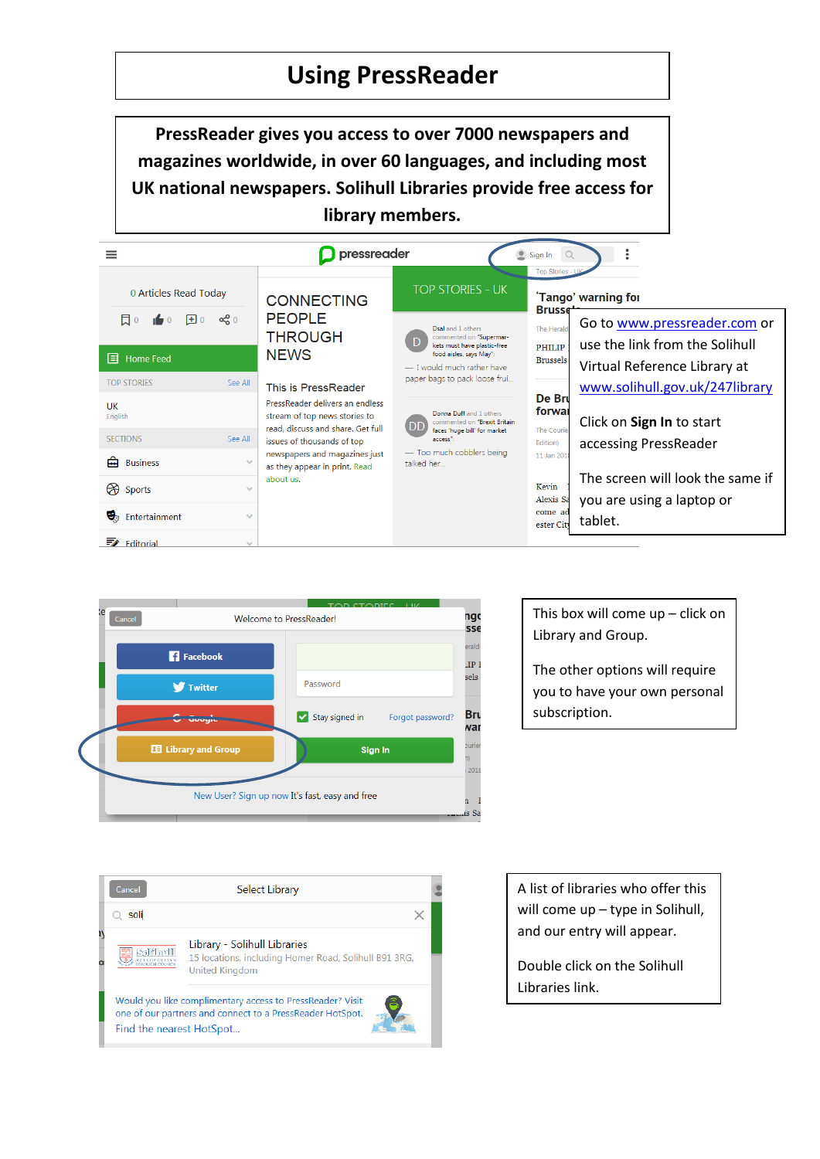## **Using PressReader**

**PressReader gives you access to over 7000 newspapers and magazines worldwide, in over 60 languages, and including most UK national newspapers. Solihull Libraries provide free access for library members.**

|                                    |               | pressreader<br>Sign In                                                                                                                                                                                                                    |                                                                                                                                                                                                                                                                                                            |                                                                    |                                  |  |
|------------------------------------|---------------|-------------------------------------------------------------------------------------------------------------------------------------------------------------------------------------------------------------------------------------------|------------------------------------------------------------------------------------------------------------------------------------------------------------------------------------------------------------------------------------------------------------------------------------------------------------|--------------------------------------------------------------------|----------------------------------|--|
|                                    |               |                                                                                                                                                                                                                                           |                                                                                                                                                                                                                                                                                                            |                                                                    | <b>Top Stories</b>               |  |
| 0 Articles Read Today              |               | <b>CONNECTING</b>                                                                                                                                                                                                                         | TOP STORIES - UK                                                                                                                                                                                                                                                                                           | 'Tango' warning for<br><b>Brusse</b>                               |                                  |  |
| 同。<br>$\boxplus$ 0                 | $\alpha_0^0$  | <b>PEOPLE</b>                                                                                                                                                                                                                             | Dsal and 1 others                                                                                                                                                                                                                                                                                          | The Herald                                                         | Go to www.pressreader.com or     |  |
|                                    |               | <b>THROUGH</b><br><b>NEWS</b>                                                                                                                                                                                                             | commented on "Supermar-<br>kets must have plastic-free<br>food aisles, says May":<br>- I would much rather have<br>paper bags to pack loose frui<br>Donna Duff and 1 others<br>commented on "Brexit Britain<br>I DE<br>faces 'huge bill' for market<br>access":<br>- Too much cobblers being<br>talked her | <b>PHILIP</b><br><b>Brussels</b>                                   | use the link from the Solihull   |  |
| $\boxed{\equiv}$ Home Feed         |               | This is PressReader<br>PressReader delivers an endless<br>stream of top news stories to<br>read, discuss and share. Get full<br>issues of thousands of top<br>newspapers and magazines just<br>as they appear in print. Read<br>about us. |                                                                                                                                                                                                                                                                                                            |                                                                    | Virtual Reference Library at     |  |
| <b>TOP STORIES</b>                 | See All       |                                                                                                                                                                                                                                           |                                                                                                                                                                                                                                                                                                            | De Bru<br>forwar<br>The Courie<br>Edition)<br>11 Jan 2018<br>Kevin | www.solihull.gov.uk/247library   |  |
| UK<br>English                      |               |                                                                                                                                                                                                                                           |                                                                                                                                                                                                                                                                                                            |                                                                    | Click on Sign In to start        |  |
| <b>SECTIONS</b>                    | See All       |                                                                                                                                                                                                                                           |                                                                                                                                                                                                                                                                                                            |                                                                    | accessing PressReader            |  |
| 侖<br><b>Business</b>               | $\sim$        |                                                                                                                                                                                                                                           |                                                                                                                                                                                                                                                                                                            |                                                                    |                                  |  |
| $\Theta$<br>Sports                 | $\checkmark$  |                                                                                                                                                                                                                                           |                                                                                                                                                                                                                                                                                                            |                                                                    | The screen will look the same if |  |
|                                    |               |                                                                                                                                                                                                                                           |                                                                                                                                                                                                                                                                                                            | Alexis Sa                                                          | you are using a laptop or        |  |
| v,<br>Entertainment                | $\mathcal{A}$ |                                                                                                                                                                                                                                           |                                                                                                                                                                                                                                                                                                            | come ad<br>ester City                                              | tablet.                          |  |
| $\overline{\mathscr{L}}$ Editorial | $\sim$        |                                                                                                                                                                                                                                           |                                                                                                                                                                                                                                                                                                            |                                                                    |                                  |  |





This box will come up – click on Library and Group.

The other options will require you to have your own personal subscription.

A list of libraries who offer this will come up – type in Solihull, and our entry will appear.

Double click on the Solihull Libraries link.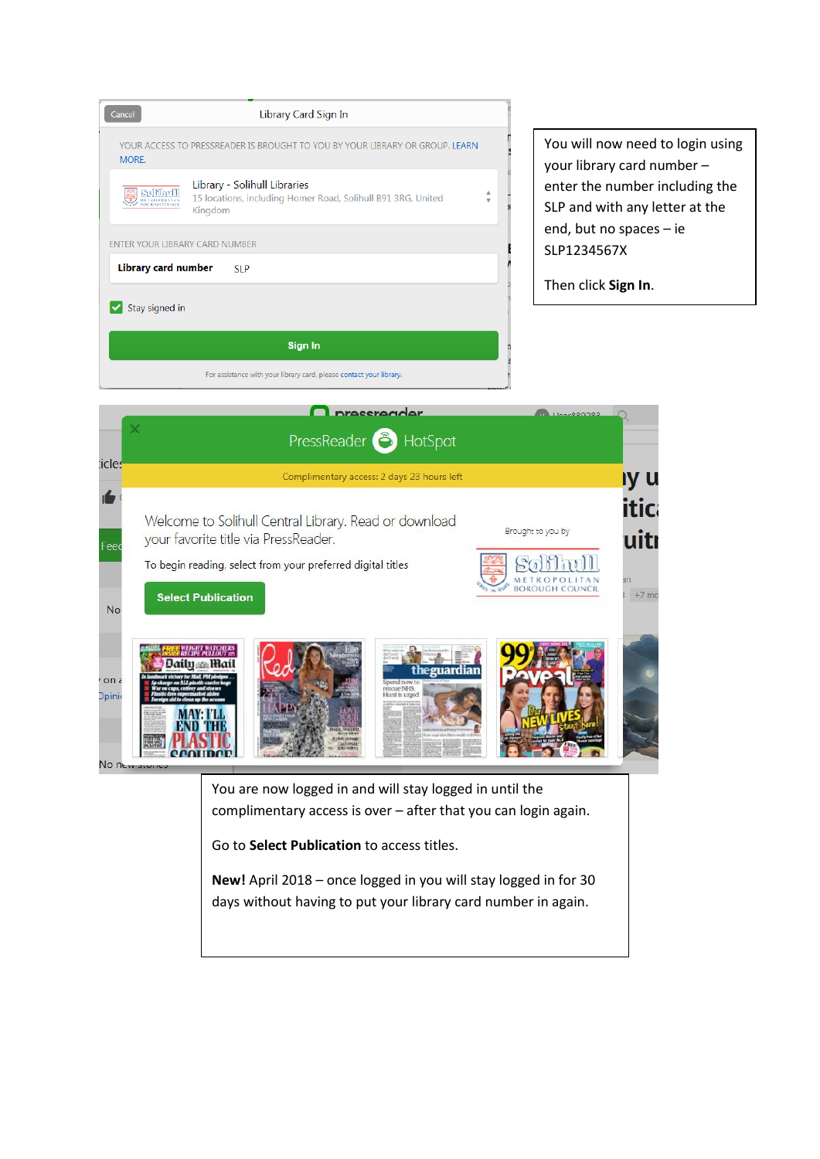

You will now need to login using your library card number – enter the number including the SLP and with any letter at the end, but no spaces – ie SLP1234567X

Then click **Sign In**.



You are now logged in and will stay logged in until the complimentary access is over – after that you can login again.

Go to **Select Publication** to access titles.

**New!** April 2018 – once logged in you will stay logged in for 30 days without having to put your library card number in again.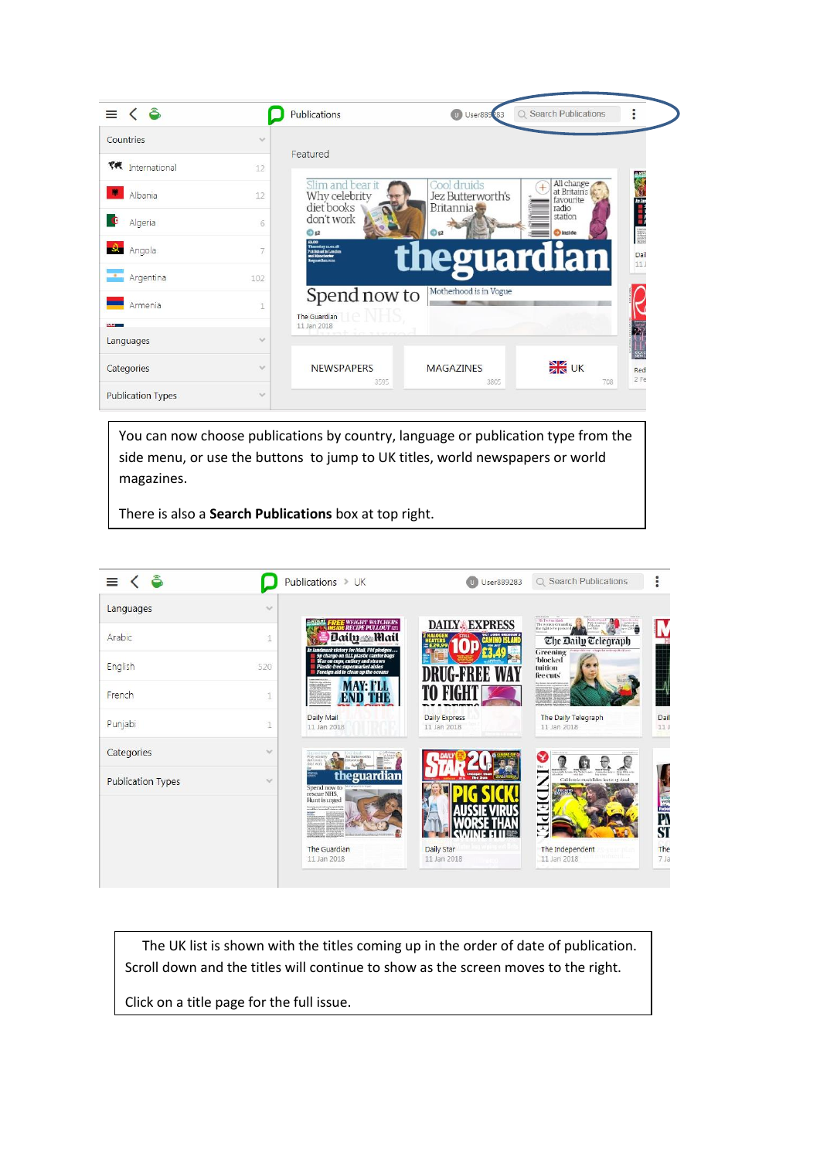

side menu, or use the buttons to jump to UK titles, world newspapers or world magazines.

There is also a **Search Publications** box at top right.



 The UK list is shown with the titles coming up in the order of date of publication. Scroll down and the titles will continue to show as the screen moves to the right.

Click on a title page for the full issue.